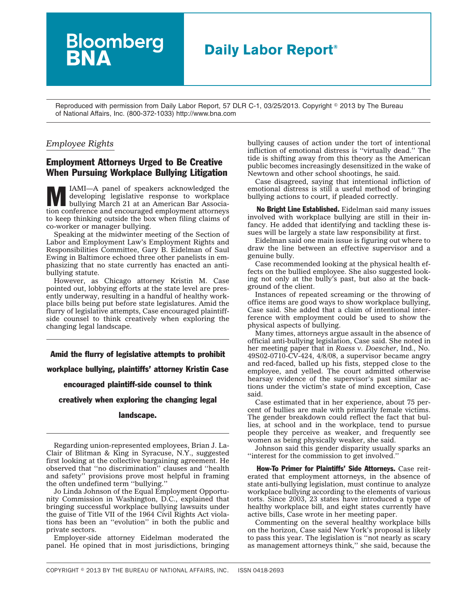## **Daily Labor Report®**

Reproduced with permission from Daily Labor Report, 57 DLR C-1, 03/25/2013. Copyright © 2013 by The Bureau of National Affairs, Inc. (800-372-1033) http://www.bna.com

## *Employee Rights*

## Employment Attorneys Urged to Be Creative When Pursuing Workplace Bullying Litigation

**Bloomberg**<br>**BNA** 

MIAMI—A panel of speakers acknowledged the<br>developing legislative response to workplace<br>bullying March 21 at an American Bar Associa-<br>tion conformed and apply means and applying the strategy developing legislative response to workplace tion conference and encouraged employment attorneys to keep thinking outside the box when filing claims of co-worker or manager bullying.

Speaking at the midwinter meeting of the Section of Labor and Employment Law's Employment Rights and Responsibilities Committee, Gary B. Eidelman of Saul Ewing in Baltimore echoed three other panelists in emphasizing that no state currently has enacted an antibullying statute.

However, as Chicago attorney Kristin M. Case pointed out, lobbying efforts at the state level are presently underway, resulting in a handful of healthy workplace bills being put before state legislatures. Amid the flurry of legislative attempts, Case encouraged plaintiffside counsel to think creatively when exploring the changing legal landscape.

Amid the flurry of legislative attempts to prohibit workplace bullying, plaintiffs' attorney Kristin Case encouraged plaintiff-side counsel to think creatively when exploring the changing legal

## landscape.

Regarding union-represented employees, Brian J. La-Clair of Blitman & King in Syracuse, N.Y., suggested first looking at the collective bargaining agreement. He observed that ''no discrimination'' clauses and ''health and safety'' provisions prove most helpful in framing the often undefined term ''bullying.''

Jo Linda Johnson of the Equal Employment Opportunity Commission in Washington, D.C., explained that bringing successful workplace bullying lawsuits under the guise of Title VII of the 1964 Civil Rights Act violations has been an ''evolution'' in both the public and private sectors.

Employer-side attorney Eidelman moderated the panel. He opined that in most jurisdictions, bringing bullying causes of action under the tort of intentional infliction of emotional distress is ''virtually dead.'' The tide is shifting away from this theory as the American public becomes increasingly desensitized in the wake of Newtown and other school shootings, he said.

Case disagreed, saying that intentional infliction of emotional distress is still a useful method of bringing bullying actions to court, if pleaded correctly.

No Bright Line Established. Eidelman said many issues involved with workplace bullying are still in their infancy. He added that identifying and tackling these issues will be largely a state law responsibility at first.

Eidelman said one main issue is figuring out where to draw the line between an effective supervisor and a genuine bully.

Case recommended looking at the physical health effects on the bullied employee. She also suggested looking not only at the bully's past, but also at the background of the client.

Instances of repeated screaming or the throwing of office items are good ways to show workplace bullying, Case said. She added that a claim of intentional interference with employment could be used to show the physical aspects of bullying.

Many times, attorneys argue assault in the absence of official anti-bullying legislation, Case said. She noted in her meeting paper that in *Raess v. Doescher*, Ind., No. 49S02-0710-CV-424, 4/8/08, a supervisor became angry and red-faced, balled up his fists, stepped close to the employee, and yelled. The court admitted otherwise hearsay evidence of the supervisor's past similar actions under the victim's state of mind exception, Case said.

Case estimated that in her experience, about 75 percent of bullies are male with primarily female victims. The gender breakdown could reflect the fact that bullies, at school and in the workplace, tend to pursue people they perceive as weaker, and frequently see women as being physically weaker, she said.

Johnson said this gender disparity usually sparks an ''interest for the commission to get involved.''

How-To Primer for Plaintiffs' Side Attorneys. Case reiterated that employment attorneys, in the absence of state anti-bullying legislation, must continue to analyze workplace bullying according to the elements of various torts. Since 2003, 23 states have introduced a type of healthy workplace bill, and eight states currently have active bills, Case wrote in her meeting paper.

Commenting on the several healthy workplace bills on the horizon, Case said New York's proposal is likely to pass this year. The legislation is ''not nearly as scary as management attorneys think,'' she said, because the